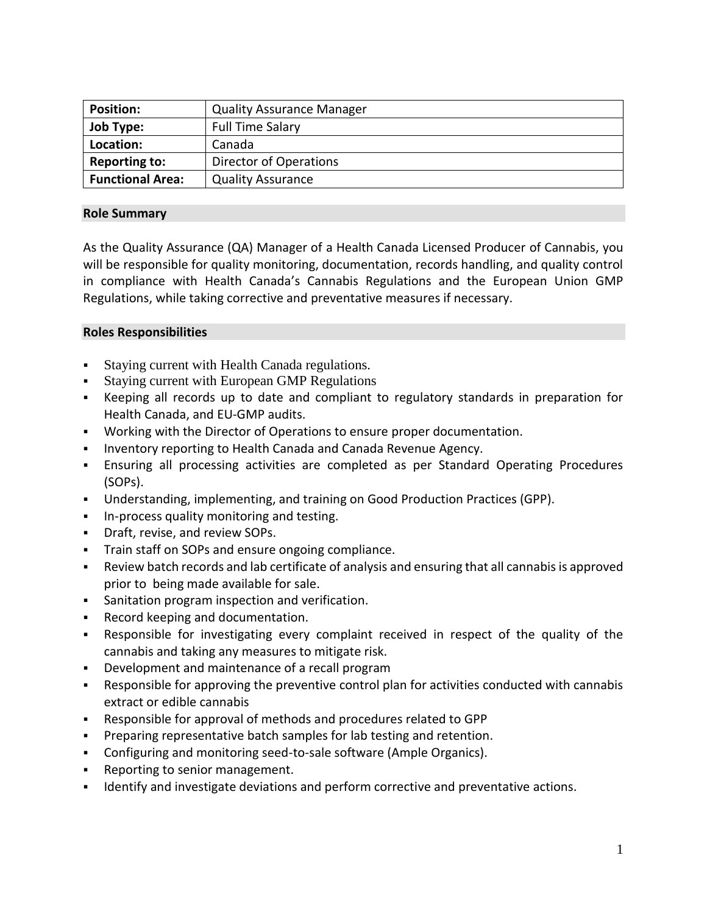| <b>Position:</b>        | <b>Quality Assurance Manager</b> |
|-------------------------|----------------------------------|
| <b>Job Type:</b>        | <b>Full Time Salary</b>          |
| Location:               | Canada                           |
| <b>Reporting to:</b>    | <b>Director of Operations</b>    |
| <b>Functional Area:</b> | <b>Quality Assurance</b>         |

# **Role Summary**

As the Quality Assurance (QA) Manager of a Health Canada Licensed Producer of Cannabis, you will be responsible for quality monitoring, documentation, records handling, and quality control in compliance with Health Canada's Cannabis Regulations and the European Union GMP Regulations, while taking corrective and preventative measures if necessary.

### **Roles Responsibilities**

- Staying current with Health Canada regulations.
- Staying current with European GMP Regulations
- Keeping all records up to date and compliant to regulatory standards in preparation for Health Canada, and EU-GMP audits.
- Working with the Director of Operations to ensure proper documentation.
- **Inventory reporting to Health Canada and Canada Revenue Agency.**
- Ensuring all processing activities are completed as per Standard Operating Procedures (SOPs).
- Understanding, implementing, and training on Good Production Practices (GPP).
- **In-process quality monitoring and testing.**
- Draft, revise, and review SOPs.
- Train staff on SOPs and ensure ongoing compliance.
- Review batch records and lab certificate of analysis and ensuring that all cannabis is approved prior to being made available for sale.
- Sanitation program inspection and verification.
- Record keeping and documentation.
- Responsible for investigating every complaint received in respect of the quality of the cannabis and taking any measures to mitigate risk.
- Development and maintenance of a recall program
- Responsible for approving the preventive control plan for activities conducted with cannabis extract or edible cannabis
- Responsible for approval of methods and procedures related to GPP
- Preparing representative batch samples for lab testing and retention.
- Configuring and monitoring seed-to-sale software (Ample Organics).
- **Reporting to senior management.**
- Identify and investigate deviations and perform corrective and preventative actions.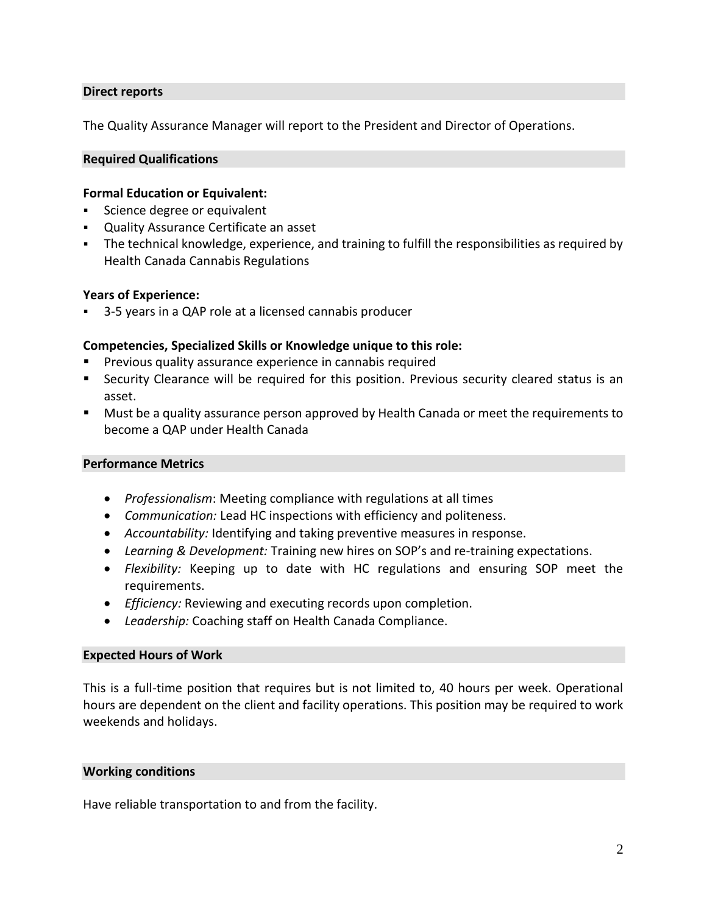## **Direct reports**

The Quality Assurance Manager will report to the President and Director of Operations.

### **Required Qualifications**

## **Formal Education or Equivalent:**

- Science degree or equivalent
- Quality Assurance Certificate an asset
- The technical knowledge, experience, and training to fulfill the responsibilities as required by Health Canada Cannabis Regulations

### **Years of Experience:**

3-5 years in a QAP role at a licensed cannabis producer

### **Competencies, Specialized Skills or Knowledge unique to this role:**

- Previous quality assurance experience in cannabis required
- Security Clearance will be required for this position. Previous security cleared status is an asset.
- Must be a quality assurance person approved by Health Canada or meet the requirements to become a QAP under Health Canada

### **Performance Metrics**

- *Professionalism*: Meeting compliance with regulations at all times
- *Communication:* Lead HC inspections with efficiency and politeness.
- *Accountability:* Identifying and taking preventive measures in response.
- *Learning & Development:* Training new hires on SOP's and re-training expectations.
- *Flexibility:* Keeping up to date with HC regulations and ensuring SOP meet the requirements.
- *Efficiency:* Reviewing and executing records upon completion.
- *Leadership:* Coaching staff on Health Canada Compliance.

#### **Expected Hours of Work**

This is a full-time position that requires but is not limited to, 40 hours per week. Operational hours are dependent on the client and facility operations. This position may be required to work weekends and holidays.

#### **Working conditions**

Have reliable transportation to and from the facility.